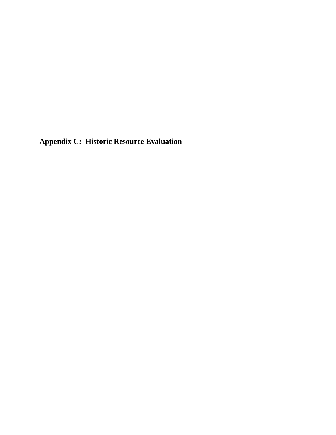**Appendix C: Historic Resource Evaluation**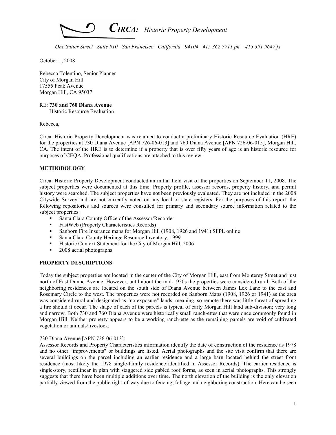

October 1, 2008

Rebecca Tolentino, Senior Planner City of Morgan Hill 17555 Peak Avenue Morgan Hill, CA 95037

# RE: 730 and 760 Diana Avenue

Historic Resource Evaluation

Rebecca,

Circa: Historic Property Development was retained to conduct a preliminary Historic Resource Evaluation (HRE) for the properties at 730 Diana Avenue [APN 726-06-013] and 760 Diana Avenue [APN 726-06-015], Morgan Hill, CA. The intent of the HRE is to determine if a property that is over fifty years of age is an historic resource for purposes of CEQA. Professional qualifications are attached to this review.

# METHODOLOGY

Circa: Historic Property Development conducted an initial field visit of the properties on September 11, 2008. The subject properties were documented at this time. Property profile, assessor records, property history, and permit history were searched. The subject properties have not been previously evaluated. They are not included in the 2008 Citywide Survey and are not currently noted on any local or state registers. For the purposes of this report, the following repositories and sources were consulted for primary and secondary source information related to the subject properties:

- Santa Clara County Office of the Assessor/Recorder
- FastWeb (Property Characteristics Records)
- Sanborn Fire Insurance maps for Morgan Hill (1908, 1926 and 1941) SFPL online
- Santa Clara County Heritage Resource Inventory, 1999
- Historic Context Statement for the City of Morgan Hill, 2006
- 2008 aerial photographs

# PROPERTY DESCRIPTIONS

Today the subject properties are located in the center of the City of Morgan Hill, east from Monterey Street and just north of East Dunne Avenue. However, until about the mid-1950s the properties were considered rural. Both of the neighboring residences are located on the south side of Diana Avenue between James Lex Lane to the east and Rosemary Circle to the west. The properties were not recorded on Sanborn Maps (1908, 1926 or 1941) as the area was considered rural and designated as "no exposure" lands, meaning, so remote there was little threat of spreading a fire should it occur. The shape of each of the parcels is typical of early Morgan Hill land sub-division; very long and narrow. Both 730 and 760 Diana Avenue were historically small ranch-ettes that were once commonly found in Morgan Hill. Neither property appears to be a working ranch-ette as the remaining parcels are void of cultivated vegetation or animals/livestock.

## 730 Diana Avenue [APN 726-06-013]:

Assessor Records and Property Characteristics information identify the date of construction of the residence as 1978 and no other "improvements" or buildings are listed. Aerial photographs and the site visit confirm that there are several buildings on the parcel including an earlier residence and a large barn located behind the street front residence (most likely the 1978 single-family residence identified in Assessor Records). The earlier residence is single-story, rectilinear in plan with staggered side gabled roof forms, as seen in aerial photographs. This strongly suggests that there have been multiple additions over time. The north elevation of the building is the only elevation partially viewed from the public right-of-way due to fencing, foliage and neighboring construction. Here can be seen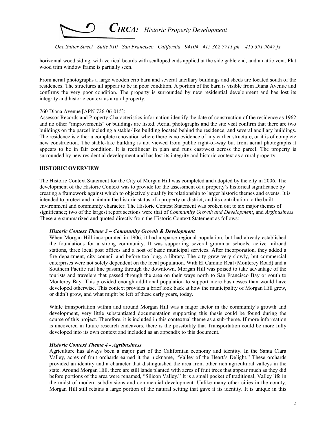

horizontal wood siding, with vertical boards with scalloped ends applied at the side gable end, and an attic vent. Flat wood trim window frame is partially seen.

From aerial photographs a large wooden crib barn and several ancillary buildings and sheds are located south of the residences. The structures all appear to be in poor condition. A portion of the barn is visible from Diana Avenue and confirms the very poor condition. The property is surrounded by new residential development and has lost its integrity and historic context as a rural property.

#### 760 Diana Avenue [APN 726-06-015]:

Assessor Records and Property Characteristics information identify the date of construction of the residence as 1962 and no other "improvements" or buildings are listed. Aerial photographs and the site visit confirm that there are two buildings on the parcel including a stable-like building located behind the residence, and several ancillary buildings. The residence is either a complete renovation where there is no evidence of any earlier structure, or it is of complete new construction. The stable-like building is not viewed from public right-of-way but from aerial photographs it appears to be in fair condition. It is rectilinear in plan and runs east/west across the parcel. The property is surrounded by new residential development and has lost its integrity and historic context as a rural property.

#### HISTORIC OVERVIEW

The Historic Context Statement for the City of Morgan Hill was completed and adopted by the city in 2006. The development of the Historic Context was to provide for the assessment of a property's historical significance by creating a framework against which to objectively qualify its relationship to larger historic themes and events. It is intended to protect and maintain the historic status of a property or district, and its contribution to the built environment and community character. The Historic Contest Statement was broken out to six major themes of significance; two of the largest report sections were that of *Community Growth and Development*, and *Argibusiness*. These are summarized and quoted directly from the Historic Context Statement as follows:

## Historic Context Theme 3 – Community Growth & Development

When Morgan Hill incorporated in 1906, it had a sparse regional population, but had already established the foundations for a strong community. It was supporting several grammar schools, active railroad stations, three local post offices and a host of basic municipal services. After incorporation, they added a fire department, city council and before too long, a library. The city grew very slowly, but commercial enterprises were not solely dependent on the local population. With El Camino Real (Monterey Road) and a Southern Pacific rail line passing through the downtown, Morgan Hill was poised to take advantage of the tourists and travelers that passed through the area on their ways north to San Francisco Bay or south to Monterey Bay. This provided enough additional population to support more businesses than would have developed otherwise. This context provides a brief look back at how the municipality of Morgan Hill grew, or didn't grow, and what might be left of these early years, today.

While transportation within and around Morgan Hill was a major factor in the community's growth and development, very little substantiated documentation supporting this thesis could be found during the course of this project. Therefore, it is included in this contextual theme as a sub-theme. If more information is uncovered in future research endeavors, there is the possibility that Transportation could be more fully developed into its own context and included as an appendix to this document.

## Historic Context Theme 4 - Agribusiness

Agriculture has always been a major part of the Californian economy and identity. In the Santa Clara Valley, acres of fruit orchards earned it the nickname, "Valley of the Heart's Delight." These orchards provided an identity and a character that distinguished the area from other rich agricultural valleys in the state. Around Morgan Hill, there are still lands planted with acres of fruit trees that appear much as they did before portions of the area were renamed, "Silicon Valley." It is a small pocket of traditional, Valley life in the midst of modern subdivisions and commercial development. Unlike many other cities in the county, Morgan Hill still retains a large portion of the natural setting that gave it its identity. It is unique in this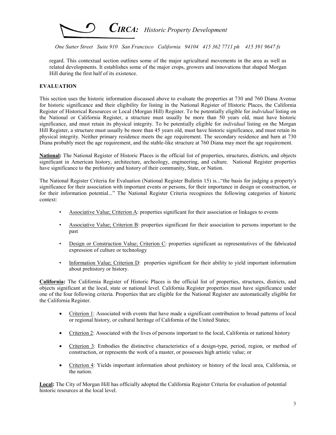

regard. This contextual section outlines some of the major agricultural movements in the area as well as related developments. It establishes some of the major crops, growers and innovations that shaped Morgan Hill during the first half of its existence.

# EVALUATION

This section uses the historic information discussed above to evaluate the properties at 730 and 760 Diana Avenue for historic significance and their eligibility for listing in the National Register of Historic Places, the California Register of Historical Resources or Local (Morgan Hill) Register. To be potentially eligible for individual listing on the National or California Register, a structure must usually be more than 50 years old, must have historic significance, and must retain its physical integrity. To be potentially eligible for individual listing on the Morgan Hill Register, a structure must usually be more than 45 years old, must have historic significance, and must retain its physical integrity. Neither primary residence meets the age requirement. The secondary residence and barn at 730 Diana probably meet the age requirement, and the stable-like structure at 760 Diana may meet the age requirement.

National: The National Register of Historic Places is the official list of properties, structures, districts, and objects significant in American history, architecture, archeology, engineering, and culture. National Register properties have significance to the prehistory and history of their community, State, or Nation.

The National Register Criteria for Evaluation (National Register Bulletin 15) is..."the basis for judging a property's significance for their association with important events or persons, for their importance in design or construction, or for their information potential..." The National Register Criteria recognizes the following categories of historic context:

- Associative Value; Criterion A: properties significant for their association or linkages to events
- Associative Value; Criterion B: properties significant for their association to persons important to the past
- Design or Construction Value; Criterion C: properties significant as representatives of the fabricated expression of culture or technology
- Information Value; Criterion D: properties significant for their ability to yield important information about prehistory or history.

California: The California Register of Historic Places is the official list of properties, structures, districts, and objects significant at the local, state or national level. California Register properties must have significance under one of the four following criteria. Properties that are eligible for the National Register are automatically eligible for the California Register.

- Criterion 1: Associated with events that have made a significant contribution to broad patterns of local or regional history, or cultural heritage of California of the United States;
- Criterion 2: Associated with the lives of persons important to the local, California or national history
- Criterion 3: Embodies the distinctive characteristics of a design-type, period, region, or method of construction, or represents the work of a master, or possesses high artistic value; or
- Criterion 4: Yields important information about prehistory or history of the local area, California, or the nation.

Local: The City of Morgan Hill has officially adopted the California Register Criteria for evaluation of potential historic resources at the local level.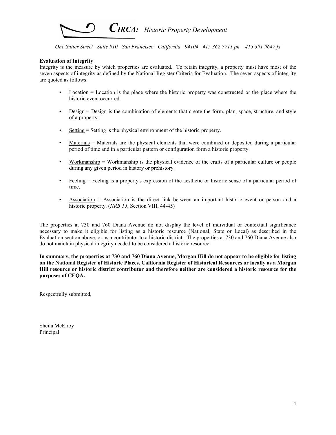

# Evaluation of Integrity

Integrity is the measure by which properties are evaluated. To retain integrity, a property must have most of the seven aspects of integrity as defined by the National Register Criteria for Evaluation. The seven aspects of integrity are quoted as follows:

- Location = Location is the place where the historic property was constructed or the place where the historic event occurred.
- Design = Design is the combination of elements that create the form, plan, space, structure, and style of a property.
- Setting = Setting is the physical environment of the historic property.
- Materials = Materials are the physical elements that were combined or deposited during a particular period of time and in a particular pattern or configuration form a historic property.
- Workmanship = Workmanship is the physical evidence of the crafts of a particular culture or people during any given period in history or prehistory.
- Feeling = Feeling is a property's expression of the aesthetic or historic sense of a particular period of time.
- $\Delta$ ssociation = Association is the direct link between an important historic event or person and a historic property. (*NRB 15*, Section VIII, 44-45)

The properties at 730 and 760 Diana Avenue do not display the level of individual or contextual significance necessary to make it eligible for listing as a historic resource (National, State or Local) as described in the Evaluation section above, or as a contributor to a historic district. The properties at 730 and 760 Diana Avenue also do not maintain physical integrity needed to be considered a historic resource.

In summary, the properties at 730 and 760 Diana Avenue, Morgan Hill do not appear to be eligible for listing on the National Register of Historic Places, California Register of Historical Resources or locally as a Morgan Hill resource or historic district contributor and therefore neither are considered a historic resource for the purposes of CEQA.

Respectfully submitted,

Sheila McElroy Principal